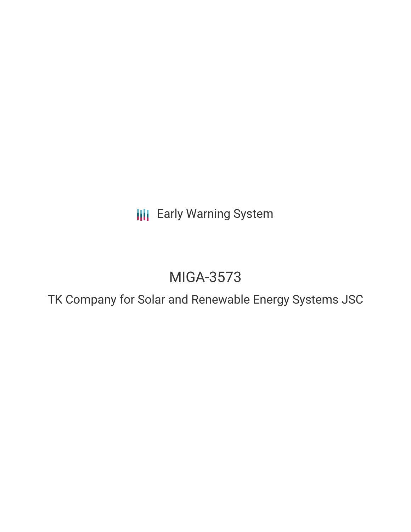**III** Early Warning System

# MIGA-3573

TK Company for Solar and Renewable Energy Systems JSC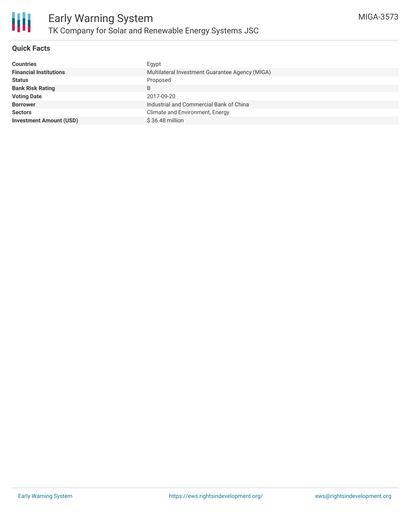

# **Quick Facts**

| <b>Countries</b>               | Egypt                                           |
|--------------------------------|-------------------------------------------------|
| <b>Financial Institutions</b>  | Multilateral Investment Guarantee Agency (MIGA) |
| <b>Status</b>                  | Proposed                                        |
| <b>Bank Risk Rating</b>        | B                                               |
| <b>Voting Date</b>             | 2017-09-20                                      |
| <b>Borrower</b>                | Industrial and Commercial Bank of China         |
| <b>Sectors</b>                 | Climate and Environment, Energy                 |
| <b>Investment Amount (USD)</b> | $$36.48$ million                                |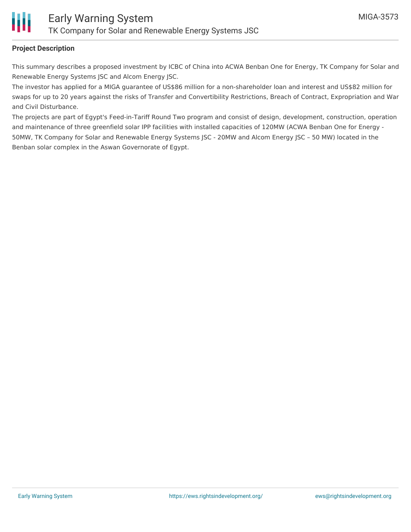

## **Project Description**

This summary describes a proposed investment by ICBC of China into ACWA Benban One for Energy, TK Company for Solar and Renewable Energy Systems JSC and Alcom Energy JSC.

The investor has applied for a MIGA guarantee of US\$86 million for a non-shareholder loan and interest and US\$82 million for swaps for up to 20 years against the risks of Transfer and Convertibility Restrictions, Breach of Contract, Expropriation and War and Civil Disturbance.

The projects are part of Egypt's Feed-in-Tariff Round Two program and consist of design, development, construction, operation and maintenance of three greenfield solar IPP facilities with installed capacities of 120MW (ACWA Benban One for Energy - 50MW, TK Company for Solar and Renewable Energy Systems JSC - 20MW and Alcom Energy JSC – 50 MW) located in the Benban solar complex in the Aswan Governorate of Egypt.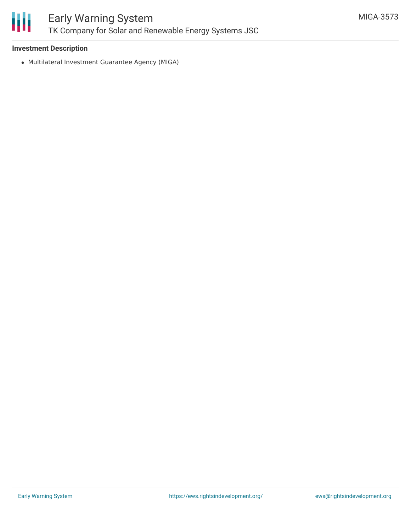

# **Investment Description**

Multilateral Investment Guarantee Agency (MIGA)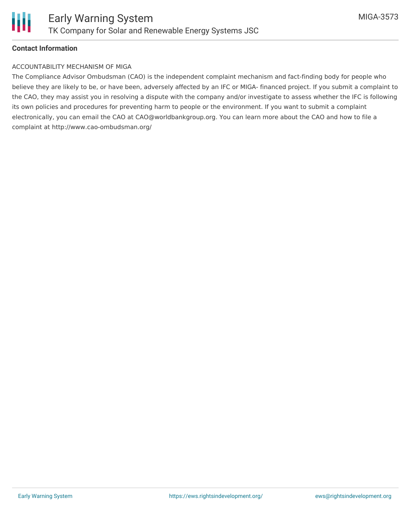

## **Contact Information**

#### ACCOUNTABILITY MECHANISM OF MIGA

The Compliance Advisor Ombudsman (CAO) is the independent complaint mechanism and fact-finding body for people who believe they are likely to be, or have been, adversely affected by an IFC or MIGA- financed project. If you submit a complaint to the CAO, they may assist you in resolving a dispute with the company and/or investigate to assess whether the IFC is following its own policies and procedures for preventing harm to people or the environment. If you want to submit a complaint electronically, you can email the CAO at CAO@worldbankgroup.org. You can learn more about the CAO and how to file a complaint at http://www.cao-ombudsman.org/